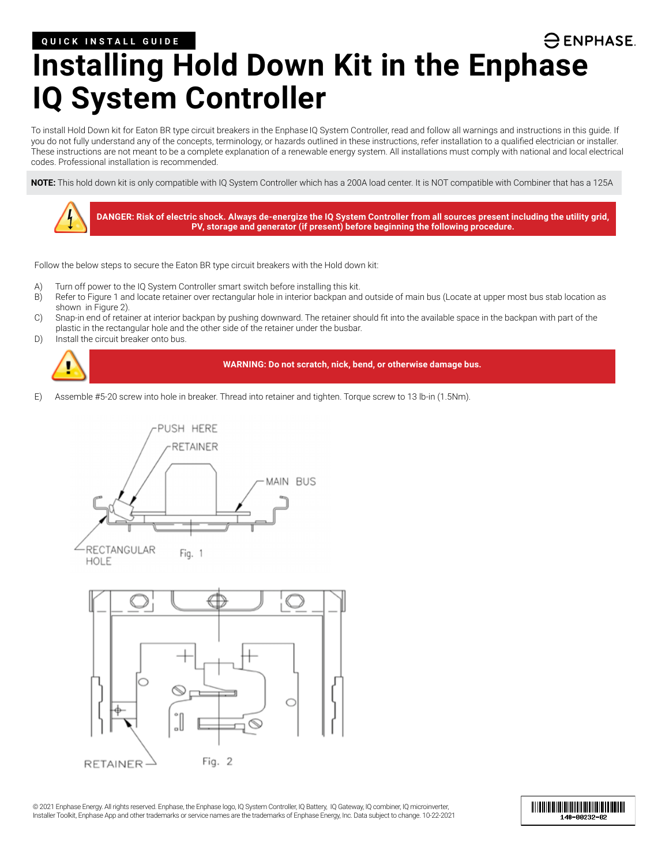### **QUICK INSTALL GUIDE**

 $\ominus$  ENPHASE.

# **Installing Hold Down Kit in the Enphase IQ System Controller**

To install Hold Down kit for Eaton BR type circuit breakers in the Enphase IQ System Controller, read and follow all warnings and instructions in this guide. If you do not fully understand any of the concepts, terminology, or hazards outlined in these instructions, refer installation to a qualified electrician or installer. These instructions are not meant to be a complete explanation of a renewable energy system. All installations must comply with national and local electrical codes. Professional installation is recommended.

**NOTE:** This hold down kit is only compatible with IQ System Controller which has a 200A load center. It is NOT compatible with Combiner that has a 125A



Follow the below steps to secure the Eaton BR type circuit breakers with the Hold down kit:

- A) Turn off power to the IQ System Controller smart switch before installing this kit.
- B) Refer to Figure 1 and locate retainer over rectangular hole in interior backpan and outside of main bus (Locate at upper most bus stab location as shown in Figure 2).
- C) Snap-in end of retainer at interior backpan by pushing downward. The retainer should fit into the available space in the backpan with part of the plastic in the rectangular hole and the other side of the retainer under the busbar.
- D) Install the circuit breaker onto bus.



#### **WARNING: Do not scratch, nick, bend, or otherwise damage bus.**

E) Assemble #5-20 screw into hole in breaker. Thread into retainer and tighten. Torque screw to 13 lb-in (1.5Nm).





© 2021 Enphase Energy. All rights reserved. Enphase, the Enphase logo, IQ System Controller, IQ Battery, IQ Gateway, IQ combiner, IQ microinverter, Installer Toolkit, Enphase App and other trademarks or service names are the trademarks of Enphase Energy, Inc. Data subject to change. 10-22-2021